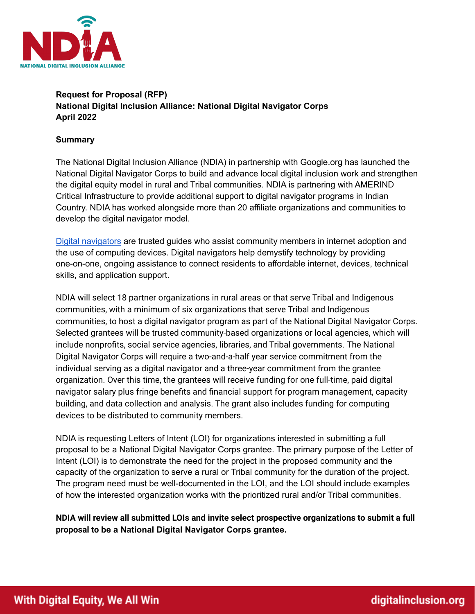

# **Request for Proposal (RFP) National Digital Inclusion Alliance: National Digital Navigator Corps April 2022**

#### **Summary**

The National Digital Inclusion Alliance (NDIA) in partnership with Google.org has launched the National Digital Navigator Corps to build and advance local digital inclusion work and strengthen the digital equity model in rural and Tribal communities. NDIA is partnering with AMERIND Critical Infrastructure to provide additional support to digital navigator programs in Indian Country. NDIA has worked alongside more than 20 affiliate organizations and communities to develop the digital navigator model.

Digital [navigators](https://www.digitalinclusion.org/digital-navigator-model/) are trusted guides who assist community members in internet adoption and the use of computing devices. Digital navigators help demystify technology by providing one-on-one, ongoing assistance to connect residents to affordable internet, devices, technical skills, and application support.

NDIA will select 18 partner organizations in rural areas or that serve Tribal and Indigenous communities, with a minimum of six organizations that serve Tribal and Indigenous communities, to host a digital navigator program as part of the National Digital Navigator Corps. Selected grantees will be trusted community-based organizations or local agencies, which will include nonprofits, social service agencies, libraries, and Tribal governments. The National Digital Navigator Corps will require a two-and-a-half year service commitment from the individual serving as a digital navigator and a three-year commitment from the grantee organization. Over this time, the grantees will receive funding for one full-time, paid digital navigator salary plus fringe benefits and financial support for program management, capacity building, and data collection and analysis. The grant also includes funding for computing devices to be distributed to community members.

NDIA is requesting Letters of Intent (LOI) for organizations interested in submitting a full proposal to be a National Digital Navigator Corps grantee. The primary purpose of the Letter of Intent (LOI) is to demonstrate the need for the project in the proposed community and the capacity of the organization to serve a rural or Tribal community for the duration of the project. The program need must be well-documented in the LOI, and the LOI should include examples of how the interested organization works with the prioritized rural and/or Tribal communities.

**NDIA will review all submitted LOIs and invite select prospective organizations to submit a full proposal to be a National Digital Navigator Corps grantee.**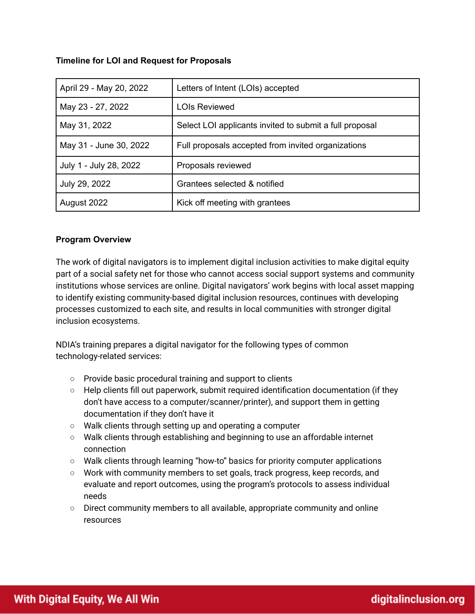# **Timeline for LOI and Request for Proposals**

| April 29 - May 20, 2022 | Letters of Intent (LOIs) accepted                       |
|-------------------------|---------------------------------------------------------|
| May 23 - 27, 2022       | <b>LOIs Reviewed</b>                                    |
| May 31, 2022            | Select LOI applicants invited to submit a full proposal |
| May 31 - June 30, 2022  | Full proposals accepted from invited organizations      |
| July 1 - July 28, 2022  | Proposals reviewed                                      |
| July 29, 2022           | Grantees selected & notified                            |
| August 2022             | Kick off meeting with grantees                          |

# **Program Overview**

The work of digital navigators is to implement digital inclusion activities to make digital equity part of a social safety net for those who cannot access social support systems and community institutions whose services are online. Digital navigators' work begins with local asset mapping to identify existing community-based digital inclusion resources, continues with developing processes customized to each site, and results in local communities with stronger digital inclusion ecosystems.

NDIA's training prepares a digital navigator for the following types of common technology-related services:

- Provide basic procedural training and support to clients
- Help clients fill out paperwork, submit required identification documentation (if they don't have access to a computer/scanner/printer), and support them in getting documentation if they don't have it
- Walk clients through setting up and operating a computer
- Walk clients through establishing and beginning to use an affordable internet connection
- Walk clients through learning "how-to" basics for priority computer applications
- Work with community members to set goals, track progress, keep records, and evaluate and report outcomes, using the program's protocols to assess individual needs
- $\circ$  Direct community members to all available, appropriate community and online resources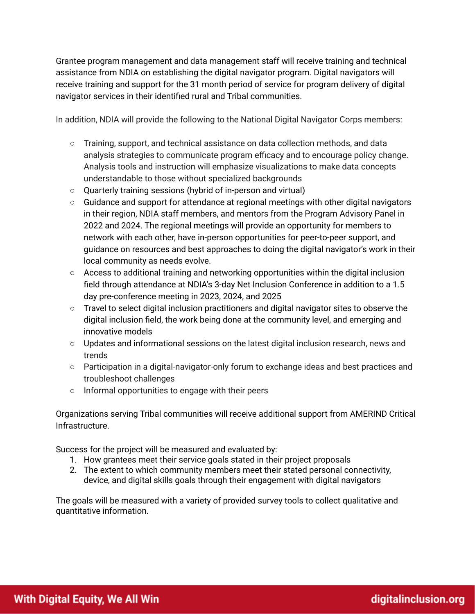Grantee program management and data management staff will receive training and technical assistance from NDIA on establishing the digital navigator program. Digital navigators will receive training and support for the 31 month period of service for program delivery of digital navigator services in their identified rural and Tribal communities.

In addition, NDIA will provide the following to the National Digital Navigator Corps members:

- Training, support, and technical assistance on data collection methods, and data analysis strategies to communicate program efficacy and to encourage policy change. Analysis tools and instruction will emphasize visualizations to make data concepts understandable to those without specialized backgrounds
- Quarterly training sessions (hybrid of in-person and virtual)
- Guidance and support for attendance at regional meetings with other digital navigators in their region, NDIA staff members, and mentors from the Program Advisory Panel in 2022 and 2024. The regional meetings will provide an opportunity for members to network with each other, have in-person opportunities for peer-to-peer support, and guidance on resources and best approaches to doing the digital navigator's work in their local community as needs evolve.
- Access to additional training and networking opportunities within the digital inclusion field through attendance at NDIA's 3-day Net Inclusion Conference in addition to a 1.5 day pre-conference meeting in 2023, 2024, and 2025
- Travel to select digital inclusion practitioners and digital navigator sites to observe the digital inclusion field, the work being done at the community level, and emerging and innovative models
- Updates and informational sessions on the latest digital inclusion research, news and trends
- Participation in a digital-navigator-only forum to exchange ideas and best practices and troubleshoot challenges
- Informal opportunities to engage with their peers

Organizations serving Tribal communities will receive additional support from AMERIND Critical Infrastructure.

Success for the project will be measured and evaluated by:

- 1. How grantees meet their service goals stated in their project proposals
- 2. The extent to which community members meet their stated personal connectivity, device, and digital skills goals through their engagement with digital navigators

The goals will be measured with a variety of provided survey tools to collect qualitative and quantitative information.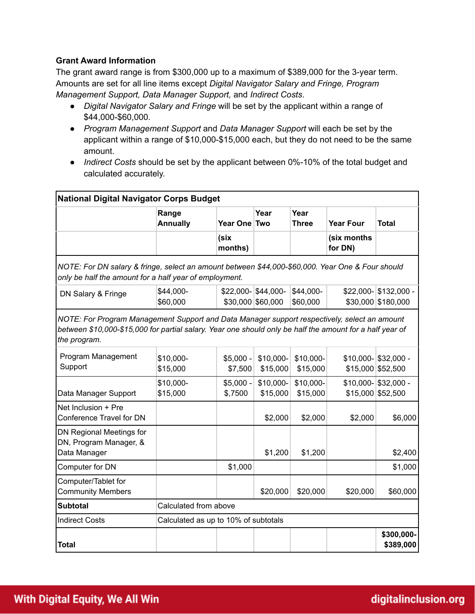# **Grant Award Information**

The grant award range is from \$300,000 up to a maximum of \$389,000 for the 3-year term. Amounts are set for all line items except *Digital Navigator Salary and Fringe, Program Management Support, Data Manager Support,* and *Indirect Costs*.

- *Digital Navigator Salary and Fringe* will be set by the applicant within a range of \$44,000-\$60,000.
- *Program Management Support* and *Data Manager Support* will each be set by the applicant within a range of \$10,000-\$15,000 each, but they do not need to be the same amount.
- *Indirect Costs* should be set by the applicant between 0%-10% of the total budget and calculated accurately.

| <b>National Digital Navigator Corps Budget</b>                                                                                                                                                                           |                                      |                       |                                            |                       |                        |                                             |  |  |
|--------------------------------------------------------------------------------------------------------------------------------------------------------------------------------------------------------------------------|--------------------------------------|-----------------------|--------------------------------------------|-----------------------|------------------------|---------------------------------------------|--|--|
|                                                                                                                                                                                                                          | Range<br><b>Annually</b>             | Year One Two          | Year                                       | Year<br><b>Three</b>  | <b>Year Four</b>       | <b>Total</b>                                |  |  |
|                                                                                                                                                                                                                          |                                      | (six<br>months)       |                                            |                       | (six months<br>for DN) |                                             |  |  |
| NOTE: For DN salary & fringe, select an amount between \$44,000-\$60,000. Year One & Four should<br>only be half the amount for a half year of employment.                                                               |                                      |                       |                                            |                       |                        |                                             |  |  |
| DN Salary & Fringe                                                                                                                                                                                                       | \$44,000-<br>\$60,000                |                       | $$22,000 - $44,000 -$<br>\$30,000 \$60,000 | \$44,000-<br>\$60,000 |                        | \$22,000- \$132,000 -<br>\$30,000 \$180,000 |  |  |
| NOTE: For Program Management Support and Data Manager support respectively, select an amount<br>between \$10,000-\$15,000 for partial salary. Year one should only be half the amount for a half year of<br>the program. |                                      |                       |                                            |                       |                        |                                             |  |  |
| Program Management<br>Support                                                                                                                                                                                            | \$10,000-<br>\$15,000                | $$5,000 -$<br>\$7,500 | \$10,000-<br>\$15,000                      | \$10,000-<br>\$15,000 |                        | \$10,000- \$32,000 -<br>\$15,000 \$52,500   |  |  |
| Data Manager Support                                                                                                                                                                                                     | \$10,000-<br>\$15,000                | $$5,000 -$<br>\$,7500 | \$10,000-<br>\$15,000                      | \$10,000-<br>\$15,000 |                        | \$10,000- \$32,000 -<br>\$15,000 \$52,500   |  |  |
| Net Inclusion + Pre<br>Conference Travel for DN                                                                                                                                                                          |                                      |                       | \$2,000                                    | \$2,000               | \$2,000                | \$6,000                                     |  |  |
| DN Regional Meetings for<br>DN, Program Manager, &<br>Data Manager                                                                                                                                                       |                                      |                       | \$1,200                                    | \$1,200               |                        | \$2,400                                     |  |  |
| Computer for DN                                                                                                                                                                                                          |                                      | \$1,000               |                                            |                       |                        | \$1,000                                     |  |  |
| Computer/Tablet for<br><b>Community Members</b>                                                                                                                                                                          |                                      |                       | \$20,000                                   | \$20,000              | \$20,000               | \$60,000                                    |  |  |
| <b>Subtotal</b>                                                                                                                                                                                                          | Calculated from above                |                       |                                            |                       |                        |                                             |  |  |
| <b>Indirect Costs</b>                                                                                                                                                                                                    | Calculated as up to 10% of subtotals |                       |                                            |                       |                        |                                             |  |  |
| <b>Total</b>                                                                                                                                                                                                             |                                      |                       |                                            |                       |                        | \$300,000-<br>\$389,000                     |  |  |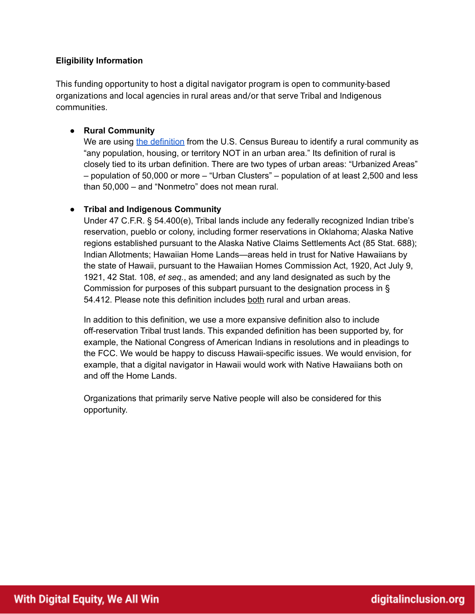# **Eligibility Information**

This funding opportunity to host a digital navigator program is open to community-based organizations and local agencies in rural areas and/or that serve Tribal and Indigenous communities.

#### ● **Rural Community**

We are using the [definition](https://nal.usda.gov/legacy/ric/what-is-rural) from the U.S. Census Bureau to identify a rural community as "any population, housing, or territory NOT in an urban area." Its definition of rural is closely tied to its urban definition. There are two types of urban areas: "Urbanized Areas" – population of 50,000 or more – "Urban Clusters" – population of at least 2,500 and less than 50,000 – and "Nonmetro" does not mean rural.

#### ● **Tribal and Indigenous Community**

Under 47 C.F.R. § 54.400(e), Tribal lands include any federally recognized Indian tribe's reservation, pueblo or colony, including former reservations in Oklahoma; Alaska Native regions established pursuant to the Alaska Native Claims Settlements Act (85 Stat. 688); Indian Allotments; Hawaiian Home Lands—areas held in trust for Native Hawaiians by the state of Hawaii, pursuant to the Hawaiian Homes Commission Act, 1920, Act July 9, 1921, 42 Stat. 108, *et seq.*, as amended; and any land designated as such by the Commission for purposes of this subpart pursuant to the designation process in § 54.412. Please note this definition includes both rural and urban areas.

In addition to this definition, we use a more expansive definition also to include off-reservation Tribal trust lands. This expanded definition has been supported by, for example, the National Congress of American Indians in resolutions and in pleadings to the FCC. We would be happy to discuss Hawaii-specific issues. We would envision, for example, that a digital navigator in Hawaii would work with Native Hawaiians both on and off the Home Lands.

Organizations that primarily serve Native people will also be considered for this opportunity.